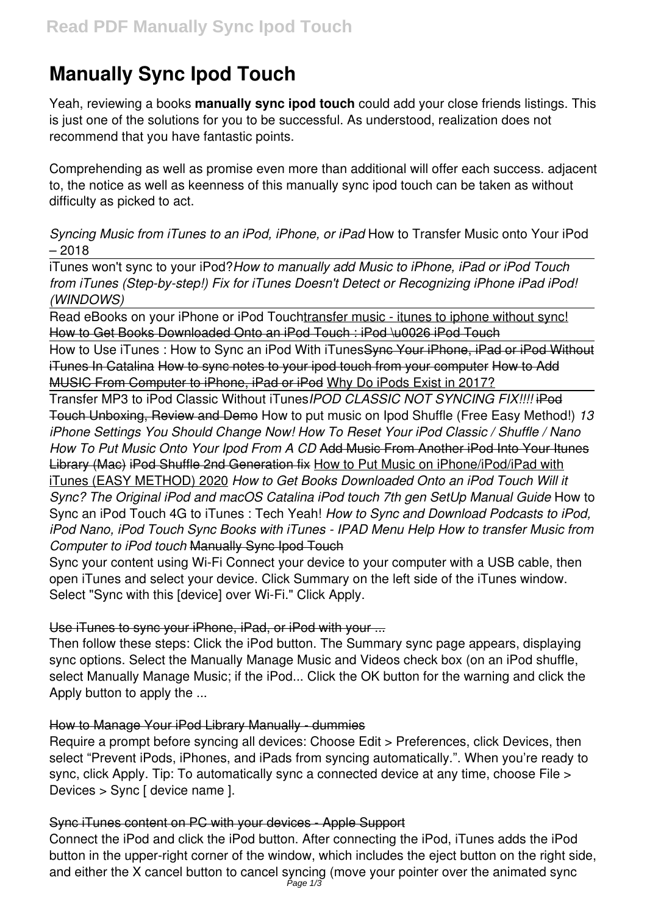# **Manually Sync Ipod Touch**

Yeah, reviewing a books **manually sync ipod touch** could add your close friends listings. This is just one of the solutions for you to be successful. As understood, realization does not recommend that you have fantastic points.

Comprehending as well as promise even more than additional will offer each success. adjacent to, the notice as well as keenness of this manually sync ipod touch can be taken as without difficulty as picked to act.

*Syncing Music from iTunes to an iPod, iPhone, or iPad* How to Transfer Music onto Your iPod – 2018

iTunes won't sync to your iPod?*How to manually add Music to iPhone, iPad or iPod Touch from iTunes (Step-by-step!) Fix for iTunes Doesn't Detect or Recognizing iPhone iPad iPod! (WINDOWS)*

Read eBooks on your iPhone or iPod Touchtransfer music - itunes to iphone without sync! How to Get Books Downloaded Onto an iPod Touch : iPod \u0026 iPod Touch

How to Use iTunes: How to Sync an iPod With iTunes Syne Your iPhone, iPad or iPod Without iTunes In Catalina How to sync notes to your ipod touch from your computer How to Add MUSIC From Computer to iPhone, iPad or iPod Why Do iPods Exist in 2017?

Transfer MP3 to iPod Classic Without iTunes*IPOD CLASSIC NOT SYNCING FIX!!!!* iPod Touch Unboxing, Review and Demo How to put music on Ipod Shuffle (Free Easy Method!) *13 iPhone Settings You Should Change Now! How To Reset Your iPod Classic / Shuffle / Nano How To Put Music Onto Your Ipod From A CD* Add Music From Another iPod Into Your Itunes Library (Mac) iPod Shuffle 2nd Generation fix How to Put Music on iPhone/iPod/iPad with iTunes (EASY METHOD) 2020 *How to Get Books Downloaded Onto an iPod Touch Will it Sync? The Original iPod and macOS Catalina iPod touch 7th gen SetUp Manual Guide* How to Sync an iPod Touch 4G to iTunes : Tech Yeah! *How to Sync and Download Podcasts to iPod, iPod Nano, iPod Touch Sync Books with iTunes - IPAD Menu Help How to transfer Music from Computer to iPod touch* Manually Sync Ipod Touch

Sync your content using Wi-Fi Connect your device to your computer with a USB cable, then open iTunes and select your device. Click Summary on the left side of the iTunes window. Select "Sync with this [device] over Wi-Fi." Click Apply.

## Use iTunes to sync your iPhone, iPad, or iPod with your ...

Then follow these steps: Click the iPod button. The Summary sync page appears, displaying sync options. Select the Manually Manage Music and Videos check box (on an iPod shuffle, select Manually Manage Music; if the iPod... Click the OK button for the warning and click the Apply button to apply the ...

## How to Manage Your iPod Library Manually - dummies

Require a prompt before syncing all devices: Choose Edit > Preferences, click Devices, then select "Prevent iPods, iPhones, and iPads from syncing automatically.". When you're ready to sync, click Apply. Tip: To automatically sync a connected device at any time, choose File > Devices > Sync [ device name ].

# Sync iTunes content on PC with your devices - Apple Support

Connect the iPod and click the iPod button. After connecting the iPod, iTunes adds the iPod button in the upper-right corner of the window, which includes the eject button on the right side, and either the X cancel button to cancel syncing (move your pointer over the animated sync Page  $1/3$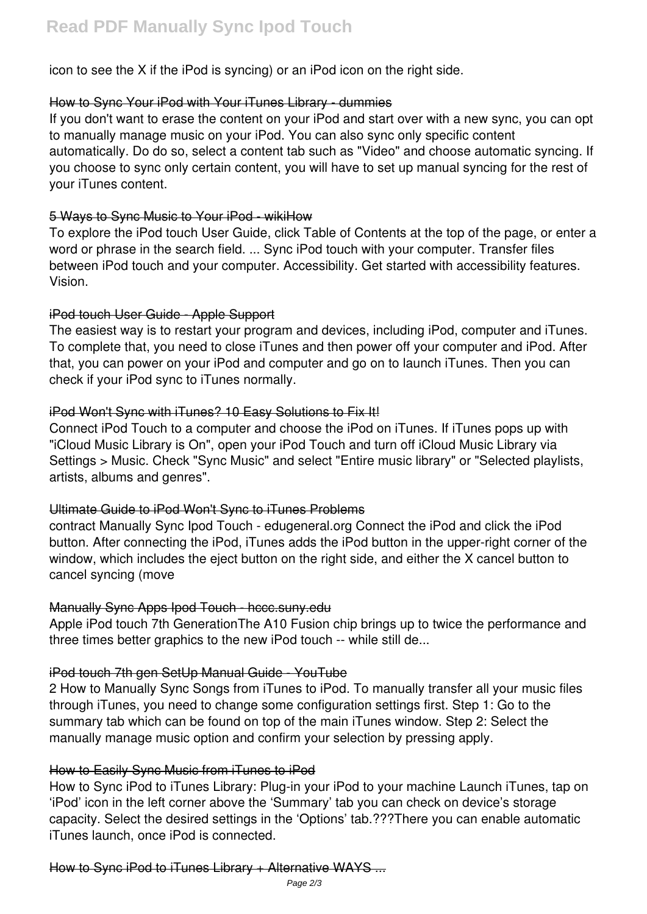icon to see the X if the iPod is syncing) or an iPod icon on the right side.

## How to Sync Your iPod with Your iTunes Library - dummies

If you don't want to erase the content on your iPod and start over with a new sync, you can opt to manually manage music on your iPod. You can also sync only specific content automatically. Do do so, select a content tab such as "Video" and choose automatic syncing. If you choose to sync only certain content, you will have to set up manual syncing for the rest of your iTunes content.

## 5 Ways to Sync Music to Your iPod - wikiHow

To explore the iPod touch User Guide, click Table of Contents at the top of the page, or enter a word or phrase in the search field. ... Sync iPod touch with your computer. Transfer files between iPod touch and your computer. Accessibility. Get started with accessibility features. Vision.

## iPod touch User Guide - Apple Support

The easiest way is to restart your program and devices, including iPod, computer and iTunes. To complete that, you need to close iTunes and then power off your computer and iPod. After that, you can power on your iPod and computer and go on to launch iTunes. Then you can check if your iPod sync to iTunes normally.

## iPod Won't Sync with iTunes? 10 Easy Solutions to Fix It!

Connect iPod Touch to a computer and choose the iPod on iTunes. If iTunes pops up with "iCloud Music Library is On", open your iPod Touch and turn off iCloud Music Library via Settings > Music. Check "Sync Music" and select "Entire music library" or "Selected playlists, artists, albums and genres".

## Ultimate Guide to iPod Won't Sync to iTunes Problems

contract Manually Sync Ipod Touch - edugeneral.org Connect the iPod and click the iPod button. After connecting the iPod, iTunes adds the iPod button in the upper-right corner of the window, which includes the eject button on the right side, and either the X cancel button to cancel syncing (move

## Manually Sync Apps Ipod Touch - hccc.suny.edu

Apple iPod touch 7th GenerationThe A10 Fusion chip brings up to twice the performance and three times better graphics to the new iPod touch -- while still de...

# iPod touch 7th gen SetUp Manual Guide - YouTube

2 How to Manually Sync Songs from iTunes to iPod. To manually transfer all your music files through iTunes, you need to change some configuration settings first. Step 1: Go to the summary tab which can be found on top of the main iTunes window. Step 2: Select the manually manage music option and confirm your selection by pressing apply.

# How to Easily Sync Music from iTunes to iPod

How to Sync iPod to iTunes Library: Plug-in your iPod to your machine Launch iTunes, tap on 'iPod' icon in the left corner above the 'Summary' tab you can check on device's storage capacity. Select the desired settings in the 'Options' tab.???There you can enable automatic iTunes launch, once iPod is connected.

## How to Sync iPod to iTunes Library + Alternative WAYS ...